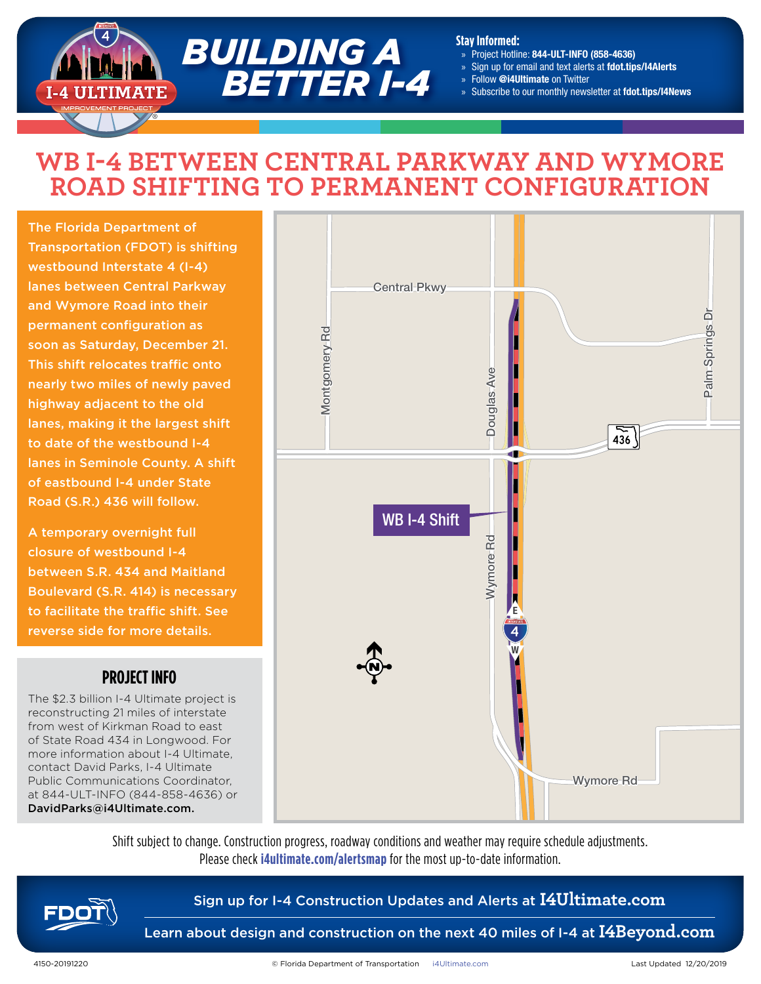

#### **Stay Informed:**

- » Project Hotline: 844-ULT-INFO (858-4636)
- » Sign up for email and text alerts at fdot.tips/I4Alerts
- » Follow @i4Ultimate on Twitter
- Subscribe to our monthly newsletter at fdot.tips/I4News

# **WB I-4 BETWEEN CENTRAL PARKWAY AND WYMORE ROAD SHIFTING TO PERMANENT CONFIGURATION**

The Florida Department of Transportation (FDOT) is shifting westbound Interstate 4 (I-4) lanes between Central Parkway and Wymore Road into their permanent configuration as soon as Saturday, December 21. This shift relocates traffic onto nearly two miles of newly paved highway adjacent to the old lanes, making it the largest shift to date of the westbound I-4 lanes in Seminole County. A shift of eastbound I-4 under State Road (S.R.) 436 will follow.

A temporary overnight full closure of westbound I-4 between S.R. 434 and Maitland Boulevard (S.R. 414) is necessary to facilitate the traffic shift. See reverse side for more details.

### **PROJECT INFO**

The \$2.3 billion I-4 Ultimate project is reconstructing 21 miles of interstate from west of Kirkman Road to east of State Road 434 in Longwood. For more information about I-4 Ultimate, contact David Parks, I-4 Ultimate Public Communications Coordinator, at 844-ULT-INFO (844-858-4636) or DavidParks@i4Ultimate.com.



Shift subject to change. Construction progress, roadway conditions and weather may require schedule adjustments. Please check **i4ultimate.com/alertsmap** for the most up-to-date information.



### Sign up for I-4 Construction Updates and Alerts at **I4Ultimate.com**

Learn about design and construction on the next 40 miles of I-4 at **I4Beyond.com**